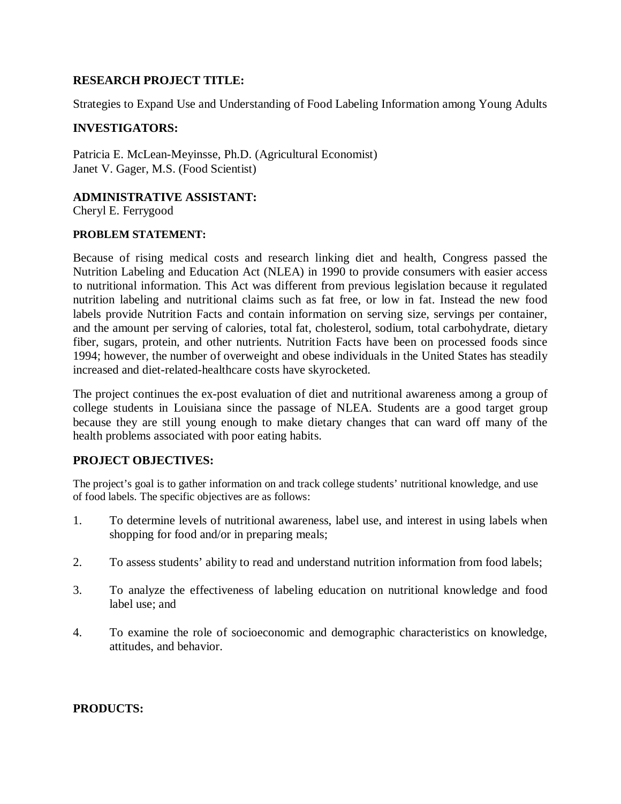## **RESEARCH PROJECT TITLE:**

Strategies to Expand Use and Understanding of Food Labeling Information among Young Adults

# **INVESTIGATORS:**

Patricia E. McLean-Meyinsse, Ph.D. (Agricultural Economist) Janet V. Gager, M.S. (Food Scientist)

# **ADMINISTRATIVE ASSISTANT:**

Cheryl E. Ferrygood

### **PROBLEM STATEMENT:**

Because of rising medical costs and research linking diet and health, Congress passed the Nutrition Labeling and Education Act (NLEA) in 1990 to provide consumers with easier access to nutritional information. This Act was different from previous legislation because it regulated nutrition labeling and nutritional claims such as fat free, or low in fat. Instead the new food labels provide Nutrition Facts and contain information on serving size, servings per container, and the amount per serving of calories, total fat, cholesterol, sodium, total carbohydrate, dietary fiber, sugars, protein, and other nutrients. Nutrition Facts have been on processed foods since 1994; however, the number of overweight and obese individuals in the United States has steadily increased and diet-related-healthcare costs have skyrocketed.

The project continues the ex-post evaluation of diet and nutritional awareness among a group of college students in Louisiana since the passage of NLEA. Students are a good target group because they are still young enough to make dietary changes that can ward off many of the health problems associated with poor eating habits.

# **PROJECT OBJECTIVES:**

The project's goal is to gather information on and track college students' nutritional knowledge, and use of food labels. The specific objectives are as follows:

- 1. To determine levels of nutritional awareness, label use, and interest in using labels when shopping for food and/or in preparing meals;
- 2. To assess students' ability to read and understand nutrition information from food labels;
- 3. To analyze the effectiveness of labeling education on nutritional knowledge and food label use; and
- 4. To examine the role of socioeconomic and demographic characteristics on knowledge, attitudes, and behavior.

### **PRODUCTS:**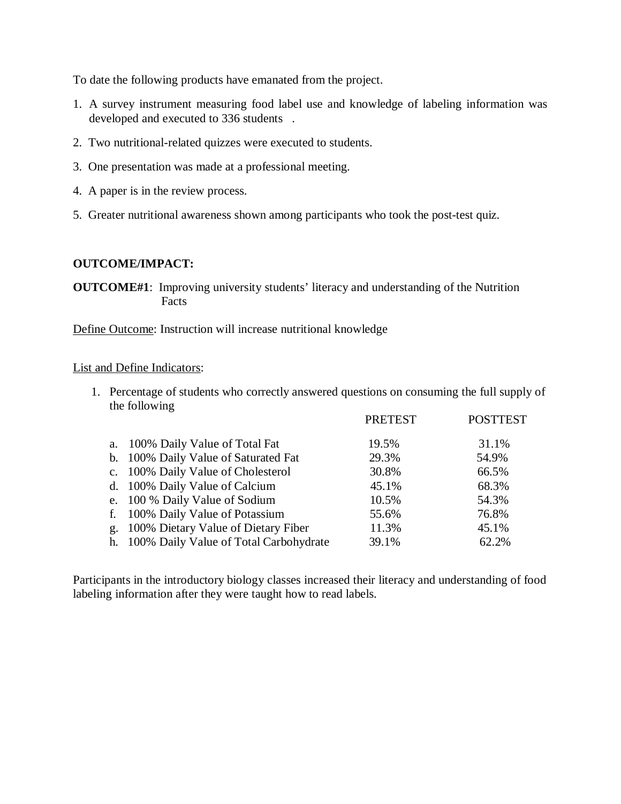To date the following products have emanated from the project.

- 1. A survey instrument measuring food label use and knowledge of labeling information was developed and executed to 336 students .
- 2. Two nutritional-related quizzes were executed to students.
- 3. One presentation was made at a professional meeting.
- 4. A paper is in the review process.
- 5. Greater nutritional awareness shown among participants who took the post-test quiz.

#### **OUTCOME/IMPACT:**

**OUTCOME#1**: Improving university students' literacy and understanding of the Nutrition Facts

Define Outcome: Instruction will increase nutritional knowledge

#### List and Define Indicators:

1. Percentage of students who correctly answered questions on consuming the full supply of the following

|                                           | <b>PRETEST</b> | <b>POSTTEST</b> |
|-------------------------------------------|----------------|-----------------|
| a. 100% Daily Value of Total Fat          | 19.5%          | 31.1%           |
| b. 100% Daily Value of Saturated Fat      | 29.3%          | 54.9%           |
| c. 100% Daily Value of Cholesterol        | 30.8%          | 66.5%           |
| d. 100% Daily Value of Calcium            | 45.1%          | 68.3%           |
| e. 100 % Daily Value of Sodium            | 10.5%          | 54.3%           |
| f. 100% Daily Value of Potassium          | 55.6%          | 76.8%           |
| g. 100% Dietary Value of Dietary Fiber    | 11.3%          | 45.1%           |
| h. 100% Daily Value of Total Carbohydrate | 39.1%          | 62.2%           |

Participants in the introductory biology classes increased their literacy and understanding of food labeling information after they were taught how to read labels.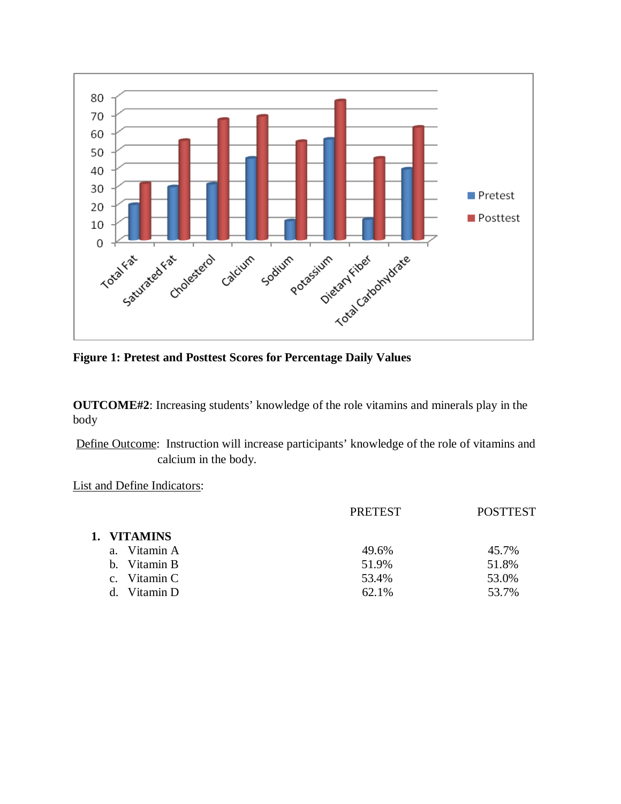

**Figure 1: Pretest and Posttest Scores for Percentage Daily Values**

**OUTCOME#2**: Increasing students' knowledge of the role vitamins and minerals play in the body

Define Outcome: Instruction will increase participants' knowledge of the role of vitamins and calcium in the body.

List and Define Indicators:

| <b>PRETEST</b> | <b>POSTTEST</b> |
|----------------|-----------------|
|                |                 |
| 49.6%          | 45.7%           |
| 51.9%          | 51.8%           |
| 53.4%          | 53.0%           |
| 62.1%          | 53.7%           |
|                |                 |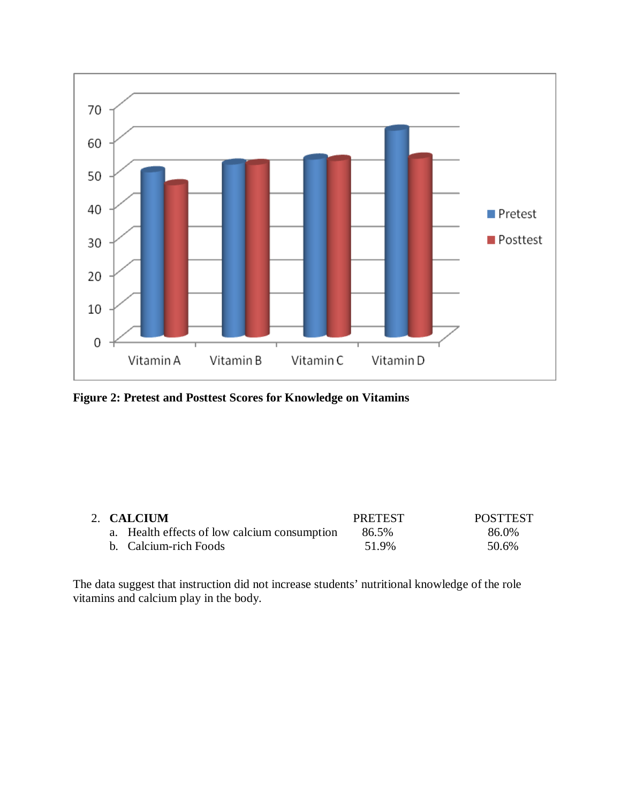

**Figure 2: Pretest and Posttest Scores for Knowledge on Vitamins**

|  | 2. CALCIUM                                   | <b>PRETEST</b> | <b>POSTTEST</b> |
|--|----------------------------------------------|----------------|-----------------|
|  | a. Health effects of low calcium consumption | 86.5%          | 86.0%           |
|  | b. Calcium-rich Foods                        | 51.9%          | 50.6%           |

The data suggest that instruction did not increase students' nutritional knowledge of the role vitamins and calcium play in the body.